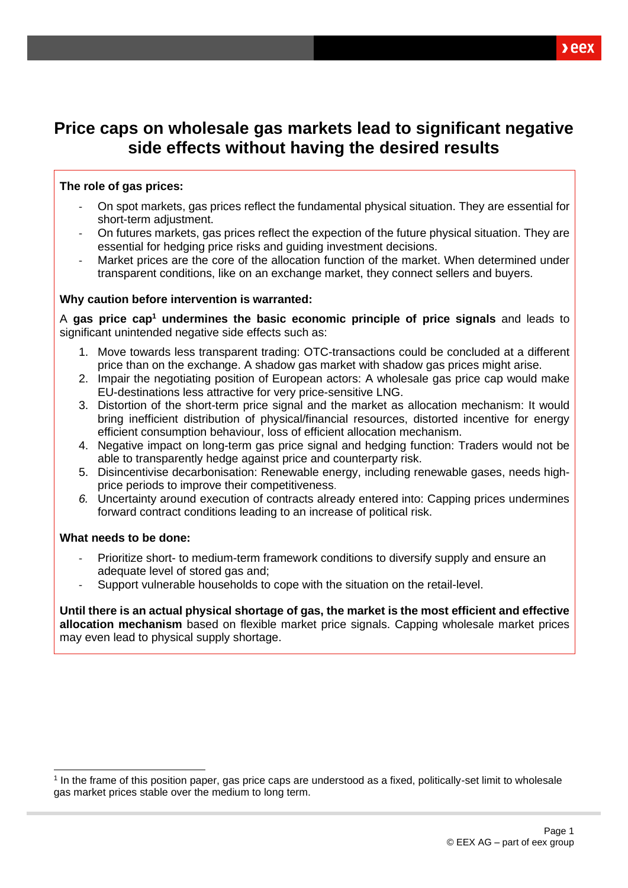# **Price caps on wholesale gas markets lead to significant negative side effects without having the desired results**

## **The role of gas prices:**

- On spot markets, gas prices reflect the fundamental physical situation. They are essential for short-term adjustment.
- On futures markets, gas prices reflect the expection of the future physical situation. They are essential for hedging price risks and guiding investment decisions.
- Market prices are the core of the allocation function of the market. When determined under transparent conditions, like on an exchange market, they connect sellers and buyers.

### **Why caution before intervention is warranted:**

A **gas price cap<sup>1</sup> undermines the basic economic principle of price signals** and leads to significant unintended negative side effects such as:

- 1. Move towards less transparent trading: OTC-transactions could be concluded at a different price than on the exchange. A shadow gas market with shadow gas prices might arise.
- 2. Impair the negotiating position of European actors: A wholesale gas price cap would make EU-destinations less attractive for very price-sensitive LNG.
- 3. Distortion of the short-term price signal and the market as allocation mechanism: It would bring inefficient distribution of physical/financial resources, distorted incentive for energy efficient consumption behaviour, loss of efficient allocation mechanism.
- 4. Negative impact on long-term gas price signal and hedging function: Traders would not be able to transparently hedge against price and counterparty risk.
- 5. Disincentivise decarbonisation: Renewable energy, including renewable gases, needs highprice periods to improve their competitiveness.
- *6.* Uncertainty around execution of contracts already entered into: Capping prices undermines forward contract conditions leading to an increase of political risk.

### **What needs to be done:**

- Prioritize short- to medium-term framework conditions to diversify supply and ensure an adequate level of stored gas and;
- Support vulnerable households to cope with the situation on the retail-level.

**Until there is an actual physical shortage of gas, the market is the most efficient and effective allocation mechanism** based on flexible market price signals. Capping wholesale market prices may even lead to physical supply shortage.

<sup>1</sup> In the frame of this position paper, gas price caps are understood as a fixed, politically-set limit to wholesale gas market prices stable over the medium to long term.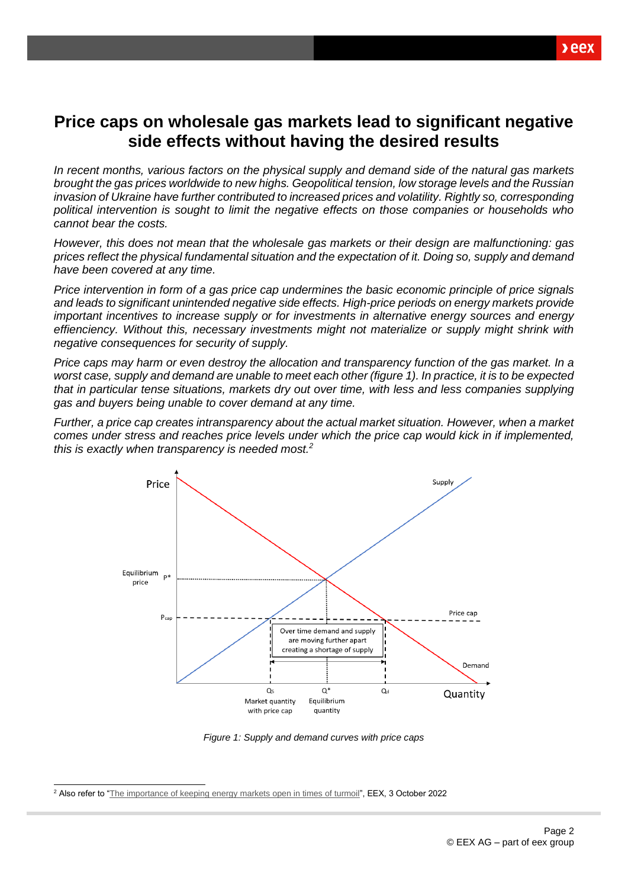# **Price caps on wholesale gas markets lead to significant negative side effects without having the desired results**

*In recent months, various factors on the physical supply and demand side of the natural gas markets brought the gas prices worldwide to new highs. Geopolitical tension, low storage levels and the Russian invasion of Ukraine have further contributed to increased prices and volatility. Rightly so, corresponding political intervention is sought to limit the negative effects on those companies or households who cannot bear the costs.* 

*However, this does not mean that the wholesale gas markets or their design are malfunctioning: gas prices reflect the physical fundamental situation and the expectation of it. Doing so, supply and demand have been covered at any time.*

*Price intervention in form of a gas price cap undermines the basic economic principle of price signals and leads to significant unintended negative side effects. High-price periods on energy markets provide important incentives to increase supply or for investments in alternative energy sources and energy effienciency. Without this, necessary investments might not materialize or supply might shrink with negative consequences for security of supply.* 

*Price caps may harm or even destroy the allocation and transparency function of the gas market. In a worst case, supply and demand are unable to meet each other (figure 1). In practice, it is to be expected that in particular tense situations, markets dry out over time, with less and less companies supplying gas and buyers being unable to cover demand at any time.* 

*Further, a price cap creates intransparency about the actual market situation. However, when a market comes under stress and reaches price levels under which the price cap would kick in if implemented, this is exactly when transparency is needed most.<sup>2</sup>*



*Figure 1: Supply and demand curves with price caps*

<sup>2</sup> Also refer to ["The importance of keeping energy markets open in times of turmoil"](https://www.eex.com/en/newsroom/detail?tx_news_pi1%5Baction%5D=detail&tx_news_pi1%5Bcontroller%5D=News&tx_news_pi1%5Bnews%5D=4285&cHash=d57ec378b301ab5d1ef0151ee8cfea8c), EEX, 3 October 2022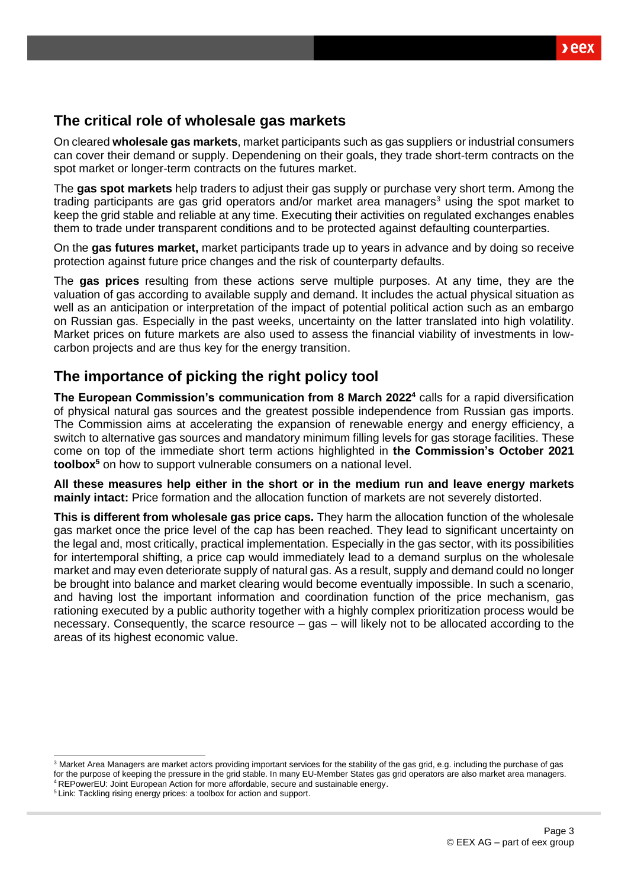# **The critical role of wholesale gas markets**

On cleared **wholesale gas markets**, market participants such as gas suppliers or industrial consumers can cover their demand or supply. Dependening on their goals, they trade short-term contracts on the spot market or longer-term contracts on the futures market.

The **gas spot markets** help traders to adjust their gas supply or purchase very short term. Among the trading participants are gas grid operators and/or market area managers<sup>3</sup> using the spot market to keep the grid stable and reliable at any time. Executing their activities on regulated exchanges enables them to trade under transparent conditions and to be protected against defaulting counterparties.

On the **gas futures market,** market participants trade up to years in advance and by doing so receive protection against future price changes and the risk of counterparty defaults.

The **gas prices** resulting from these actions serve multiple purposes. At any time, they are the valuation of gas according to available supply and demand. It includes the actual physical situation as well as an anticipation or interpretation of the impact of potential political action such as an embargo on Russian gas. Especially in the past weeks, uncertainty on the latter translated into high volatility. Market prices on future markets are also used to assess the financial viability of investments in lowcarbon projects and are thus key for the energy transition.

# **The importance of picking the right policy tool**

**The European Commission's communication from 8 March 2022<sup>4</sup>** calls for a rapid diversification of physical natural gas sources and the greatest possible independence from Russian gas imports. The Commission aims at accelerating the expansion of renewable energy and energy efficiency, a switch to alternative gas sources and mandatory minimum filling levels for gas storage facilities. These come on top of the immediate short term actions highlighted in **the Commission's October 2021 toolbox<sup>5</sup>** on how to support vulnerable consumers on a national level.

**All these measures help either in the short or in the medium run and leave energy markets mainly intact:** Price formation and the allocation function of markets are not severely distorted.

**This is different from wholesale gas price caps.** They harm the allocation function of the wholesale gas market once the price level of the cap has been reached. They lead to significant uncertainty on the legal and, most critically, practical implementation. Especially in the gas sector, with its possibilities for intertemporal shifting, a price cap would immediately lead to a demand surplus on the wholesale market and may even deteriorate supply of natural gas. As a result, supply and demand could no longer be brought into balance and market clearing would become eventually impossible. In such a scenario, and having lost the important information and coordination function of the price mechanism, gas rationing executed by a public authority together with a highly complex prioritization process would be necessary. Consequently, the scarce resource – gas – will likely not to be allocated according to the areas of its highest economic value.

<sup>&</sup>lt;sup>3</sup> Market Area Managers are market actors providing important services for the stability of the gas grid, e.g. including the purchase of gas for the purpose of keeping the pressure in the grid stable. In many EU-Member States gas grid operators are also market area managers.

<sup>4</sup> [REPowerEU: Joint European Action for more affordable, secure and sustainable energy.](https://eur-lex.europa.eu/legal-content/EN/TXT/?uri=COM%3A2022%3A108%3AFIN) <sup>5</sup> Link[: Tackling rising energy prices: a toolbox for action and support.](https://eur-lex.europa.eu/legal-content/EN/TXT/?uri=COM%3A2021%3A660%3AFIN&qid=1634215984101)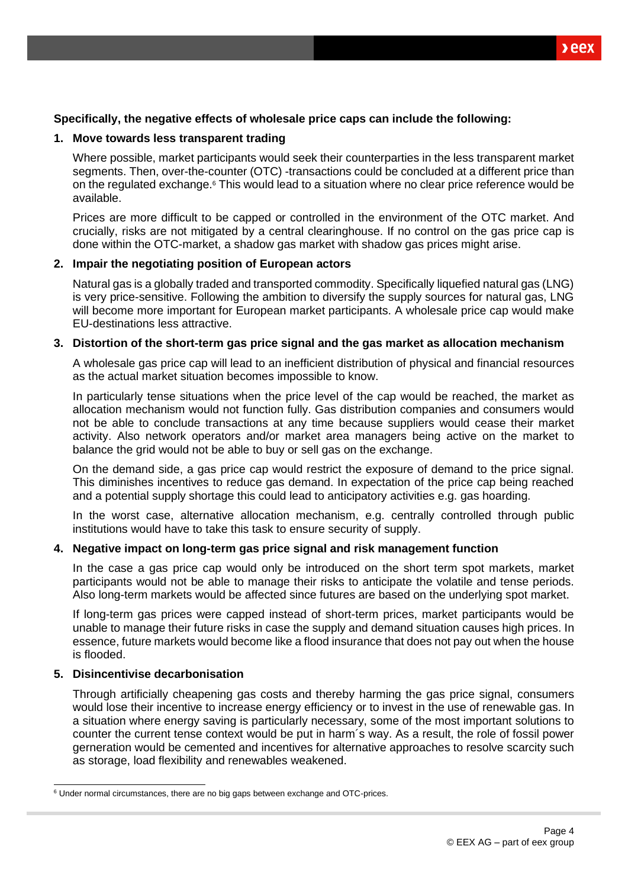### **Specifically, the negative effects of wholesale price caps can include the following:**

#### **1. Move towards less transparent trading**

Where possible, market participants would seek their counterparties in the less transparent market segments. Then, over-the-counter (OTC) -transactions could be concluded at a different price than on the regulated exchange.<sup>6</sup> This would lead to a situation where no clear price reference would be available.

Prices are more difficult to be capped or controlled in the environment of the OTC market. And crucially, risks are not mitigated by a central clearinghouse. If no control on the gas price cap is done within the OTC-market, a shadow gas market with shadow gas prices might arise.

#### **2. Impair the negotiating position of European actors**

Natural gas is a globally traded and transported commodity. Specifically liquefied natural gas (LNG) is very price-sensitive. Following the ambition to diversify the supply sources for natural gas, LNG will become more important for European market participants. A wholesale price cap would make EU-destinations less attractive.

#### **3. Distortion of the short-term gas price signal and the gas market as allocation mechanism**

A wholesale gas price cap will lead to an inefficient distribution of physical and financial resources as the actual market situation becomes impossible to know.

In particularly tense situations when the price level of the cap would be reached, the market as allocation mechanism would not function fully. Gas distribution companies and consumers would not be able to conclude transactions at any time because suppliers would cease their market activity. Also network operators and/or market area managers being active on the market to balance the grid would not be able to buy or sell gas on the exchange.

On the demand side, a gas price cap would restrict the exposure of demand to the price signal. This diminishes incentives to reduce gas demand. In expectation of the price cap being reached and a potential supply shortage this could lead to anticipatory activities e.g. gas hoarding.

In the worst case, alternative allocation mechanism, e.g. centrally controlled through public institutions would have to take this task to ensure security of supply.

#### **4. Negative impact on long-term gas price signal and risk management function**

In the case a gas price cap would only be introduced on the short term spot markets, market participants would not be able to manage their risks to anticipate the volatile and tense periods. Also long-term markets would be affected since futures are based on the underlying spot market.

If long-term gas prices were capped instead of short-term prices, market participants would be unable to manage their future risks in case the supply and demand situation causes high prices. In essence, future markets would become like a flood insurance that does not pay out when the house is flooded.

### **5. Disincentivise decarbonisation**

Through artificially cheapening gas costs and thereby harming the gas price signal, consumers would lose their incentive to increase energy efficiency or to invest in the use of renewable gas. In a situation where energy saving is particularly necessary, some of the most important solutions to counter the current tense context would be put in harm´s way. As a result, the role of fossil power gerneration would be cemented and incentives for alternative approaches to resolve scarcity such as storage, load flexibility and renewables weakened.

<sup>&</sup>lt;sup>6</sup> Under normal circumstances, there are no big gaps between exchange and OTC-prices.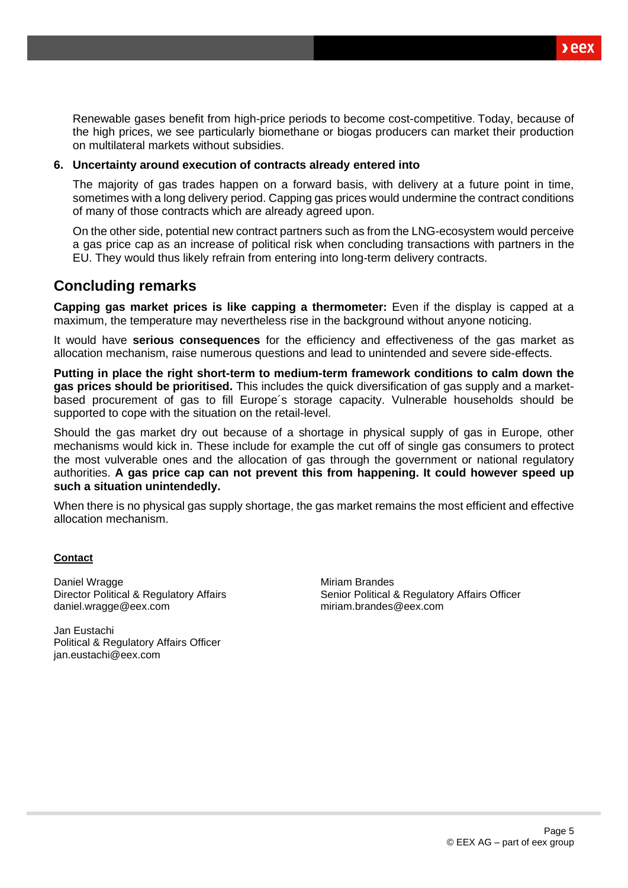$xeex$ 

Renewable gases benefit from high-price periods to become cost-competitive. Today, because of the high prices, we see particularly biomethane or biogas producers can market their production on multilateral markets without subsidies.

### **6. Uncertainty around execution of contracts already entered into**

The majority of gas trades happen on a forward basis, with delivery at a future point in time, sometimes with a long delivery period. Capping gas prices would undermine the contract conditions of many of those contracts which are already agreed upon.

On the other side, potential new contract partners such as from the LNG-ecosystem would perceive a gas price cap as an increase of political risk when concluding transactions with partners in the EU. They would thus likely refrain from entering into long-term delivery contracts.

# **Concluding remarks**

**Capping gas market prices is like capping a thermometer:** Even if the display is capped at a maximum, the temperature may nevertheless rise in the background without anyone noticing.

It would have **serious consequences** for the efficiency and effectiveness of the gas market as allocation mechanism, raise numerous questions and lead to unintended and severe side-effects.

**Putting in place the right short-term to medium-term framework conditions to calm down the gas prices should be prioritised.** This includes the quick diversification of gas supply and a marketbased procurement of gas to fill Europe´s storage capacity. Vulnerable households should be supported to cope with the situation on the retail-level.

Should the gas market dry out because of a shortage in physical supply of gas in Europe, other mechanisms would kick in. These include for example the cut off of single gas consumers to protect the most vulverable ones and the allocation of gas through the government or national regulatory authorities. **A gas price cap can not prevent this from happening. It could however speed up such a situation unintendedly.** 

When there is no physical gas supply shortage, the gas market remains the most efficient and effective allocation mechanism.

#### **Contact**

Daniel Wragge Director Political & Regulatory Affairs daniel.wragge@eex.com

Jan Eustachi Political & Regulatory Affairs Officer [jan.eustachi@eex.com](mailto:jan.eustachi@eex.com)

Miriam Brandes Senior Political & Regulatory Affairs Officer miriam.brandes@eex.com